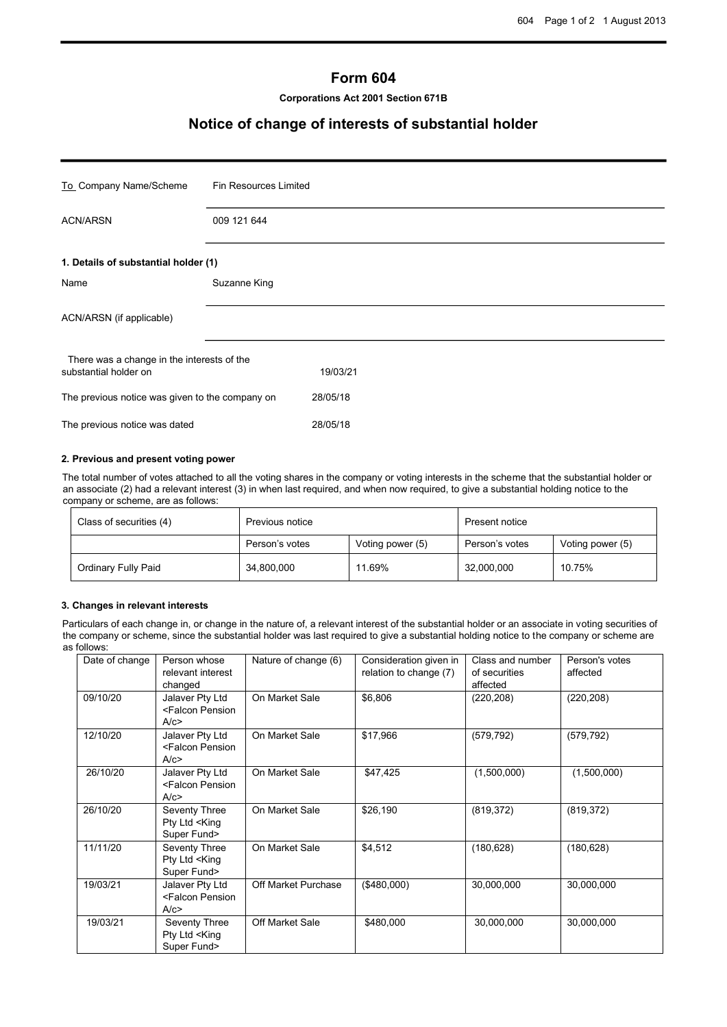# **Form 604**

**Corporations Act 2001 Section 671B**

# **Notice of change of interests of substantial holder**

| To_Company Name/Scheme                                                          | Fin Resources Limited |  |
|---------------------------------------------------------------------------------|-----------------------|--|
| <b>ACN/ARSN</b>                                                                 | 009 121 644           |  |
| 1. Details of substantial holder (1)                                            |                       |  |
| Name                                                                            | Suzanne King          |  |
| ACN/ARSN (if applicable)                                                        |                       |  |
| There was a change in the interests of the<br>substantial holder on<br>19/03/21 |                       |  |
| The previous notice was given to the company on                                 | 28/05/18              |  |
| The previous notice was dated                                                   | 28/05/18              |  |

### **2. Previous and present voting power**

The total number of votes attached to all the voting shares in the company or voting interests in the scheme that the substantial holder or an associate (2) had a relevant interest (3) in when last required, and when now required, to give a substantial holding notice to the company or scheme, are as follows:

| Class of securities (4) | Previous notice |                  | Present notice |                  |
|-------------------------|-----------------|------------------|----------------|------------------|
|                         | Person's votes  | Voting power (5) | Person's votes | Voting power (5) |
| Ordinary Fully Paid     | 34,800,000      | 11.69%           | 32,000,000     | 10.75%           |

#### **3. Changes in relevant interests**

Particulars of each change in, or change in the nature of, a relevant interest of the substantial holder or an associate in voting securities of the company or scheme, since the substantial holder was last required to give a substantial holding notice to the company or scheme are as follows:

| Date of change | Person whose<br>relevant interest<br>changed               | Nature of change (6) | Consideration given in<br>relation to change (7) | Class and number<br>of securities<br>affected | Person's votes<br>affected |
|----------------|------------------------------------------------------------|----------------------|--------------------------------------------------|-----------------------------------------------|----------------------------|
| 09/10/20       | Jalaver Pty Ltd<br><falcon pension<br="">A/c</falcon>      | On Market Sale       | \$6,806                                          | (220, 208)                                    | (220, 208)                 |
| 12/10/20       | Jalaver Pty Ltd<br><falcon pension<br="">A/c</falcon>      | On Market Sale       | \$17,966                                         | (579, 792)                                    | (579, 792)                 |
| 26/10/20       | Jalaver Pty Ltd<br><falcon pension<br="">A/c</falcon>      | On Market Sale       | \$47,425                                         | (1,500,000)                                   | (1,500,000)                |
| 26/10/20       | Seventy Three<br>Pty Ltd <king<br>Super Fund&gt;</king<br> | On Market Sale       | \$26,190                                         | (819, 372)                                    | (819, 372)                 |
| 11/11/20       | Seventy Three<br>Pty Ltd <king<br>Super Fund&gt;</king<br> | On Market Sale       | \$4,512                                          | (180, 628)                                    | (180, 628)                 |
| 19/03/21       | Jalaver Pty Ltd<br><falcon pension<br="">A/c</falcon>      | Off Market Purchase  | (\$480,000)                                      | 30,000,000                                    | 30,000,000                 |
| 19/03/21       | Seventy Three<br>Pty Ltd <king<br>Super Fund&gt;</king<br> | Off Market Sale      | \$480,000                                        | 30,000,000                                    | 30,000,000                 |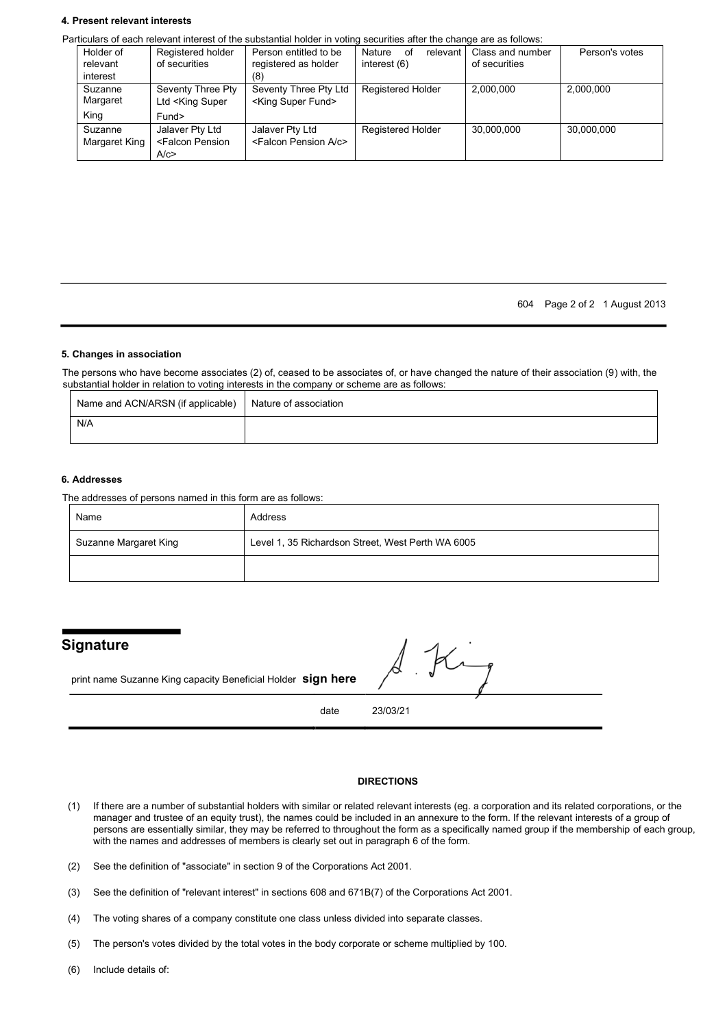#### **4. Present relevant interests**

Particulars of each relevant interest of the substantial holder in voting securities after the change are as follows:

| Holder of<br>relevant<br>interest | Registered holder<br>of securities                                                                                                                                                           | Person entitled to be<br>registered as holder<br>(8)      | Nature<br>relevant<br>οf<br>interest (6) | Class and number<br>of securities | Person's votes |
|-----------------------------------|----------------------------------------------------------------------------------------------------------------------------------------------------------------------------------------------|-----------------------------------------------------------|------------------------------------------|-----------------------------------|----------------|
| Suzanne<br>Margaret               | Seventy Three Pty<br>Ltd <king super<="" td=""><td>Seventy Three Pty Ltd<br/><king fund="" super=""></king></td><td><b>Registered Holder</b></td><td>2.000.000</td><td>2,000,000</td></king> | Seventy Three Pty Ltd<br><king fund="" super=""></king>   | <b>Registered Holder</b>                 | 2.000.000                         | 2,000,000      |
| King                              | Fund>                                                                                                                                                                                        |                                                           |                                          |                                   |                |
| Suzanne<br>Margaret King          | Jalaver Pty Ltd<br><falcon pension<br="">A/c</falcon>                                                                                                                                        | Jalaver Pty Ltd<br><falcon a="" c="" pension=""></falcon> | Registered Holder                        | 30.000.000                        | 30.000.000     |

604 Page 2 of 2 1 August 2013

#### **5. Changes in association**

The persons who have become associates (2) of, ceased to be associates of, or have changed the nature of their association (9) with, the substantial holder in relation to voting interests in the company or scheme are as follows:

| Name and ACN/ARSN (if applicable) | Nature of association |
|-----------------------------------|-----------------------|
| N/A                               |                       |

#### **6. Addresses**

The addresses of persons named in this form are as follows:

| Name                  | Address                                           |
|-----------------------|---------------------------------------------------|
| Suzanne Margaret King | Level 1, 35 Richardson Street, West Perth WA 6005 |
|                       |                                                   |

# **Signature**

print name Suzanne King capacity Beneficial Holder **sign here**

date 23/03/21

### **DIRECTIONS**

- (1) If there are a number of substantial holders with similar or related relevant interests (eg. a corporation and its related corporations, or the manager and trustee of an equity trust), the names could be included in an annexure to the form. If the relevant interests of a group of persons are essentially similar, they may be referred to throughout the form as a specifically named group if the membership of each group, with the names and addresses of members is clearly set out in paragraph 6 of the form.
- (2) See the definition of "associate" in section 9 of the Corporations Act 2001.
- (3) See the definition of "relevant interest" in sections 608 and 671B(7) of the Corporations Act 2001.
- (4) The voting shares of a company constitute one class unless divided into separate classes.
- (5) The person's votes divided by the total votes in the body corporate or scheme multiplied by 100.
- (6) Include details of: